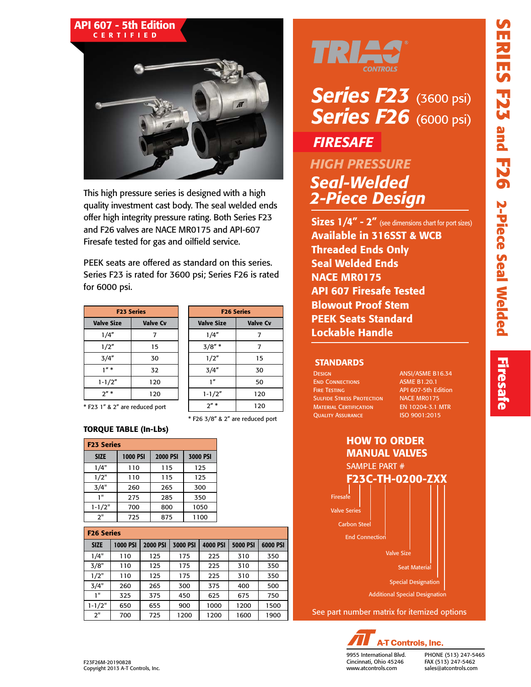

This high pressure series is designed with a high quality investment cast body. The seal welded ends offer high integrity pressure rating. Both Series F23 and F26 valves are NACE MR0175 and API-607 Firesafe tested for gas and oilfield service.

PEEK seats are offered as standard on this series. Series F23 is rated for 3600 psi; Series F26 is rated for 6000 psi.

| <b>F23 Series</b> |  |  |  |  |  |  |  |  |  |
|-------------------|--|--|--|--|--|--|--|--|--|
| <b>Valve Cv</b>   |  |  |  |  |  |  |  |  |  |
| 7                 |  |  |  |  |  |  |  |  |  |
| 15                |  |  |  |  |  |  |  |  |  |
| 30                |  |  |  |  |  |  |  |  |  |
| 32                |  |  |  |  |  |  |  |  |  |
| 120               |  |  |  |  |  |  |  |  |  |
| 120               |  |  |  |  |  |  |  |  |  |
|                   |  |  |  |  |  |  |  |  |  |

| <b>F26 Series</b> |                 |  |  |  |  |  |  |  |  |
|-------------------|-----------------|--|--|--|--|--|--|--|--|
| <b>Valve Size</b> | <b>Valve Cv</b> |  |  |  |  |  |  |  |  |
| 1/4"              | 7               |  |  |  |  |  |  |  |  |
| $3/8"$ *          | 7               |  |  |  |  |  |  |  |  |
| 1/2"              | 15              |  |  |  |  |  |  |  |  |
| 3/4"              | 30              |  |  |  |  |  |  |  |  |
| 1 <sup>n</sup>    | 50              |  |  |  |  |  |  |  |  |
| $1 - 1/2"$        | 120             |  |  |  |  |  |  |  |  |
| $2'' *$           | 120             |  |  |  |  |  |  |  |  |

\* F26 3/8" & 2" are reduced port

\* F23 1" & 2" are reduced port

### TORQUE TABLE (In-Lbs)

| <b>F23 Series</b> |                 |                 |          |  |  |  |  |  |  |  |  |
|-------------------|-----------------|-----------------|----------|--|--|--|--|--|--|--|--|
| <b>SIZE</b>       | <b>1000 PSI</b> | <b>2000 PSI</b> | 3000 PSI |  |  |  |  |  |  |  |  |
| 1/4"              | 110             | 115             | 125      |  |  |  |  |  |  |  |  |
| 1/2"              | 110             | 115             | 125      |  |  |  |  |  |  |  |  |
| 3/4"              | 260             | 265             | 300      |  |  |  |  |  |  |  |  |
| 1"                | 275             | 285             | 350      |  |  |  |  |  |  |  |  |
| $1 - 1/2"$        | 700             | 800             | 1050     |  |  |  |  |  |  |  |  |
| 2"                | 725             | 875             | 1100     |  |  |  |  |  |  |  |  |

| <b>F26 Series</b> |  |
|-------------------|--|
|                   |  |

| <b>SIZE</b> | <b>1000 PSI</b> | <b>2000 PSI</b> | 3000 PSI | 4000 PSI | <b>5000 PSI</b> | 6000 PSI |
|-------------|-----------------|-----------------|----------|----------|-----------------|----------|
| 1/4"        | 110             | 125             | 175      | 225      | 310             | 350      |
| 3/8"        | 110             | 125             | 175      | 225      | 310             | 350      |
| 1/2"        | 110             | 125             | 175      | 225      | 310             | 350      |
| 3/4"        | 260             | 265             | 300      | 375      | 400             | 500      |
| 1"          | 325             | 375             | 450      | 625      | 675             | 750      |
| $1 - 1/2"$  | 650             | 655             | 900      | 1000     | 1200            | 1500     |
| 2"          | 700             | 725             | 1200     | 1200     | 1600            | 1900     |



# *Series F23* (3600 psi) *Series F26* (6000 psi) *FIRESAFE*

### *HIGH PRESSURE Seal-Welded 2-Piece Design*

**Sizes 1/4" - 2"** (see dimensions chart for port sizes) Available in 316SST & WCB Threaded Ends Only Seal Welded Ends NACE MR0175 API 607 Firesafe Tested Blowout Proof Stem PEEK Seats Standard Lockable Handle

#### **STANDARDS**

| <b>DESIGN</b>                    |
|----------------------------------|
| <b>END CONNECTIONS</b>           |
| <b>FIRE TESTING</b>              |
| <b>SULFIDE STRESS PROTECTION</b> |
| <b>MATERIAL CERTIFICATION</b>    |
| <b>OUALITY ASSURANCE</b>         |

ANSI/ASME B16.34 **ASME B1.20.1** API 607-5th Edition NACE MR0175 EN 10204-3.1 MTR ISO 9001:2015





Cincinnati, Ohio 45246 www.atcontrols.com

PHONE (513) 247-5465 FAX (513) 247-5462 sales@atcontrols.com